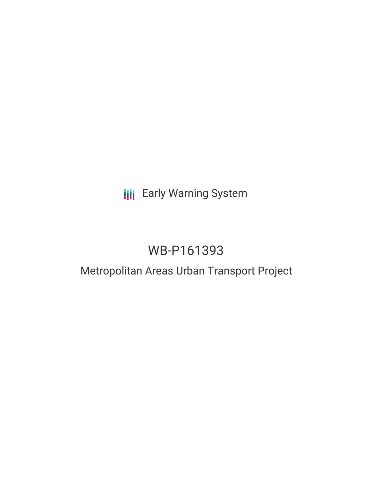# **III** Early Warning System

# WB-P161393

## Metropolitan Areas Urban Transport Project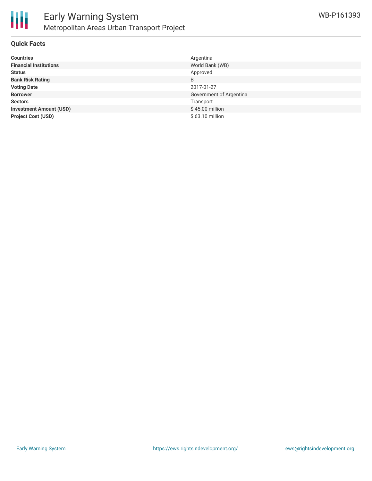

#### **Quick Facts**

| <b>Countries</b>               | Argentina               |
|--------------------------------|-------------------------|
| <b>Financial Institutions</b>  | World Bank (WB)         |
| <b>Status</b>                  | Approved                |
| <b>Bank Risk Rating</b>        | B                       |
| <b>Voting Date</b>             | 2017-01-27              |
| <b>Borrower</b>                | Government of Argentina |
| <b>Sectors</b>                 | Transport               |
| <b>Investment Amount (USD)</b> | $$45.00$ million        |
| <b>Project Cost (USD)</b>      | \$63.10 million         |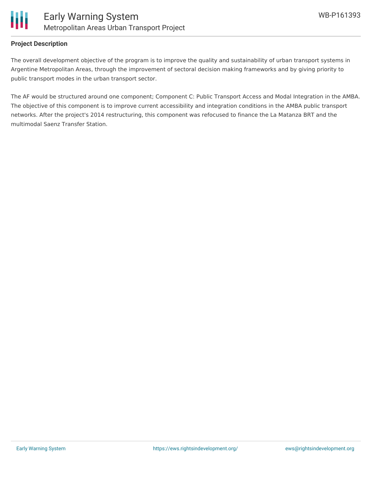

#### **Project Description**

The overall development objective of the program is to improve the quality and sustainability of urban transport systems in Argentine Metropolitan Areas, through the improvement of sectoral decision making frameworks and by giving priority to public transport modes in the urban transport sector.

The AF would be structured around one component; Component C: Public Transport Access and Modal Integration in the AMBA. The objective of this component is to improve current accessibility and integration conditions in the AMBA public transport networks. After the project's 2014 restructuring, this component was refocused to finance the La Matanza BRT and the multimodal Saenz Transfer Station.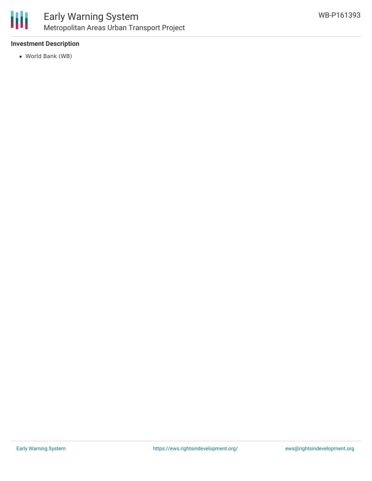

#### **Investment Description**

World Bank (WB)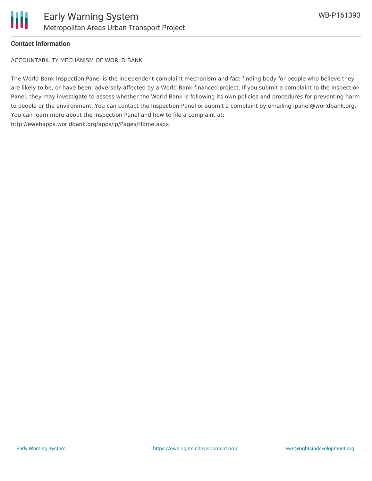

#### **Contact Information**

ACCOUNTABILITY MECHANISM OF WORLD BANK

The World Bank Inspection Panel is the independent complaint mechanism and fact-finding body for people who believe they are likely to be, or have been, adversely affected by a World Bank-financed project. If you submit a complaint to the Inspection Panel, they may investigate to assess whether the World Bank is following its own policies and procedures for preventing harm to people or the environment. You can contact the Inspection Panel or submit a complaint by emailing ipanel@worldbank.org. You can learn more about the Inspection Panel and how to file a complaint at: http://ewebapps.worldbank.org/apps/ip/Pages/Home.aspx.